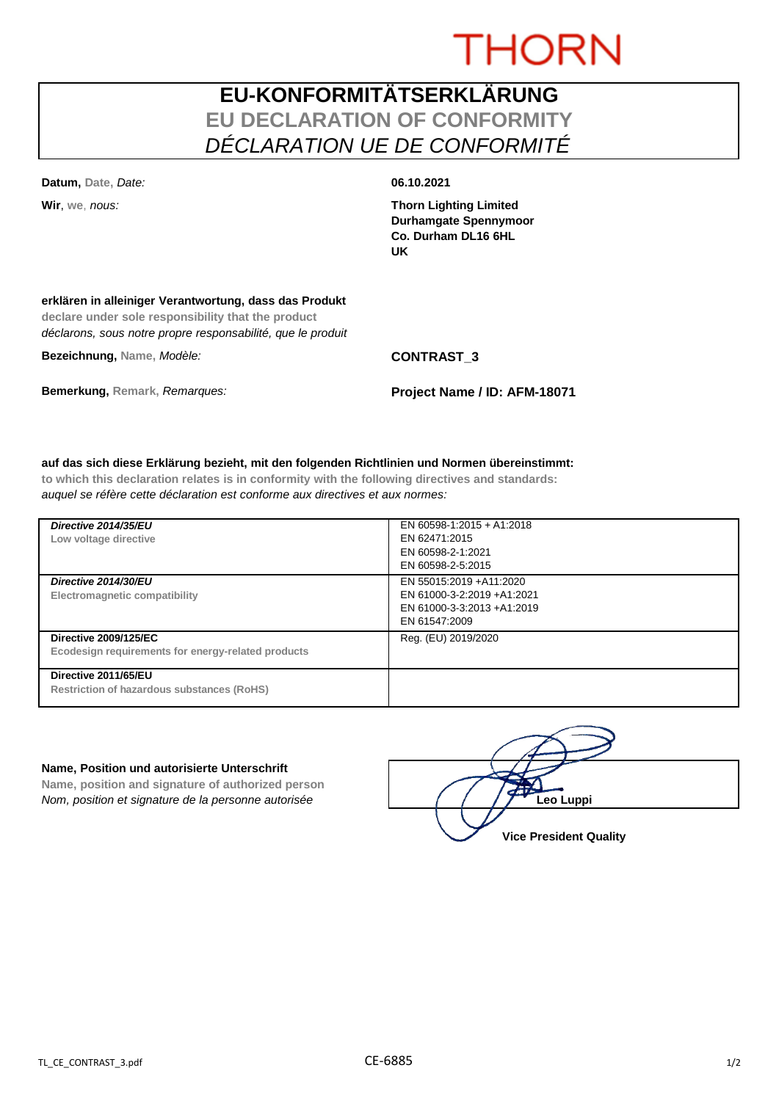# **THORN**

## **EU-KONFORMITÄTSERKLÄRUNG EU DECLARATION OF CONFORMITY** *DÉCLARATION UE DE CONFORMITÉ*

**Datum, Date,** *Date:* **06.10.2021**

**Wir**, **we**, *nous:* **Thorn Lighting Limited Durhamgate Spennymoor Co. Durham DL16 6HL UK**

### **erklären in alleiniger Verantwortung, dass das Produkt**

**declare under sole responsibility that the product** *déclarons, sous notre propre responsabilité, que le produit*

**Bezeichnung, Name,** *Modèle:* **CONTRAST\_3**

**Bemerkung, Remark,** *Remarques:* **Project Name / ID: AFM-18071**

### **auf das sich diese Erklärung bezieht, mit den folgenden Richtlinien und Normen übereinstimmt:**

**to which this declaration relates is in conformity with the following directives and standards:** *auquel se réfère cette déclaration est conforme aux directives et aux normes:*

| Directive 2014/35/EU<br>Low voltage directive                                      | EN 60598-1:2015 + A1:2018<br>EN 62471:2015<br>EN 60598-2-1:2021<br>EN 60598-2-5:2015                  |
|------------------------------------------------------------------------------------|-------------------------------------------------------------------------------------------------------|
| Directive 2014/30/EU<br>Electromagnetic compatibility                              | EN 55015:2019 + A11:2020<br>EN 61000-3-2:2019 +A1:2021<br>EN 61000-3-3:2013 +A1:2019<br>EN 61547:2009 |
| <b>Directive 2009/125/EC</b><br>Ecodesign requirements for energy-related products | Reg. (EU) 2019/2020                                                                                   |
| Directive 2011/65/EU<br>Restriction of hazardous substances (RoHS)                 |                                                                                                       |

### **Name, Position und autorisierte Unterschrift**

**Name, position and signature of authorized person** *Nom, position et signature de la personne autorisée*  $\left( \begin{array}{cc} \end{array} \right)$   $\left( \begin{array}{cc} \end{array} \right)$ **Leo Luppi** 

**Vice President Quality**